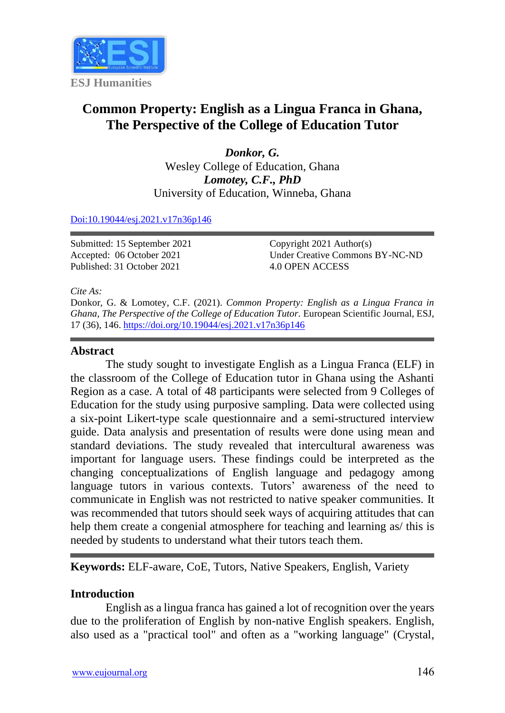

# **Common Property: English as a Lingua Franca in Ghana, The Perspective of the College of Education Tutor**

*Donkor, G.* Wesley College of Education, Ghana *Lomotey, C.F., PhD* University of Education, Winneba, Ghana

#### [Doi:10.19044/esj.2021.v17n36p146](https://doi.org/10.19044/esj.2021.v17n36p146)

Submitted: 15 September 2021 Accepted: 06 October 2021 Published: 31 October 2021

Copyright 2021 Author(s) Under Creative Commons BY-NC-ND 4.0 OPEN ACCESS

*Cite As:*

Donkor, G. & Lomotey, C.F. (2021). *Common Property: English as a Lingua Franca in Ghana, The Perspective of the College of Education Tutor.* European Scientific Journal, ESJ, 17 (36), 146. <https://doi.org/10.19044/esj.2021.v17n36p146>

#### **Abstract**

The study sought to investigate English as a Lingua Franca (ELF) in the classroom of the College of Education tutor in Ghana using the Ashanti Region as a case. A total of 48 participants were selected from 9 Colleges of Education for the study using purposive sampling. Data were collected using a six-point Likert-type scale questionnaire and a semi-structured interview guide. Data analysis and presentation of results were done using mean and standard deviations. The study revealed that intercultural awareness was important for language users. These findings could be interpreted as the changing conceptualizations of English language and pedagogy among language tutors in various contexts. Tutors' awareness of the need to communicate in English was not restricted to native speaker communities. It was recommended that tutors should seek ways of acquiring attitudes that can help them create a congenial atmosphere for teaching and learning as/ this is needed by students to understand what their tutors teach them.

**Keywords:** ELF-aware, CoE, Tutors, Native Speakers, English, Variety

## **Introduction**

English as a lingua franca has gained a lot of recognition over the years due to the proliferation of English by non-native English speakers. English, also used as a "practical tool" and often as a "working language" (Crystal,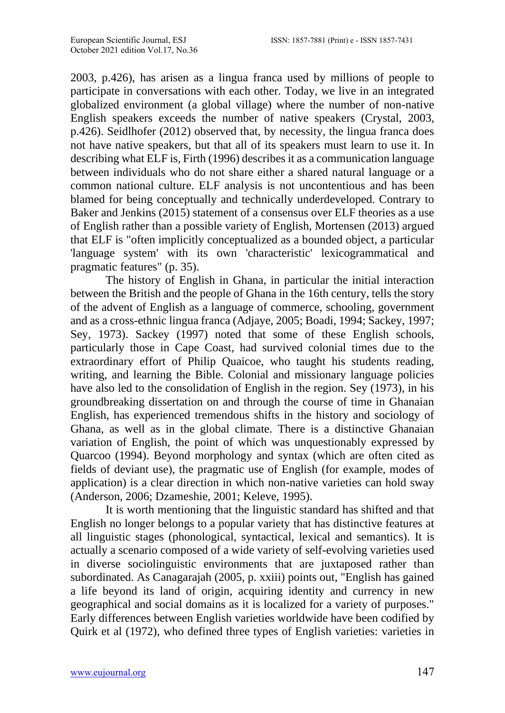2003, p.426), has arisen as a lingua franca used by millions of people to participate in conversations with each other. Today, we live in an integrated globalized environment (a global village) where the number of non-native English speakers exceeds the number of native speakers (Crystal, 2003, p.426). Seidlhofer (2012) observed that, by necessity, the lingua franca does not have native speakers, but that all of its speakers must learn to use it. In describing what ELF is, Firth (1996) describes it as a communication language between individuals who do not share either a shared natural language or a common national culture. ELF analysis is not uncontentious and has been blamed for being conceptually and technically underdeveloped. Contrary to Baker and Jenkins (2015) statement of a consensus over ELF theories as a use of English rather than a possible variety of English, Mortensen (2013) argued that ELF is "often implicitly conceptualized as a bounded object, a particular 'language system' with its own 'characteristic' lexicogrammatical and pragmatic features" (p. 35).

The history of English in Ghana, in particular the initial interaction between the British and the people of Ghana in the 16th century, tells the story of the advent of English as a language of commerce, schooling, government and as a cross-ethnic lingua franca (Adjaye, 2005; Boadi, 1994; Sackey, 1997; Sey, 1973). Sackey (1997) noted that some of these English schools, particularly those in Cape Coast, had survived colonial times due to the extraordinary effort of Philip Quaicoe, who taught his students reading, writing, and learning the Bible. Colonial and missionary language policies have also led to the consolidation of English in the region. Sey (1973), in his groundbreaking dissertation on and through the course of time in Ghanaian English, has experienced tremendous shifts in the history and sociology of Ghana, as well as in the global climate. There is a distinctive Ghanaian variation of English, the point of which was unquestionably expressed by Quarcoo (1994). Beyond morphology and syntax (which are often cited as fields of deviant use), the pragmatic use of English (for example, modes of application) is a clear direction in which non-native varieties can hold sway (Anderson, 2006; Dzameshie, 2001; Keleve, 1995).

It is worth mentioning that the linguistic standard has shifted and that English no longer belongs to a popular variety that has distinctive features at all linguistic stages (phonological, syntactical, lexical and semantics). It is actually a scenario composed of a wide variety of self-evolving varieties used in diverse sociolinguistic environments that are juxtaposed rather than subordinated. As Canagarajah (2005, p. xxiii) points out, "English has gained a life beyond its land of origin, acquiring identity and currency in new geographical and social domains as it is localized for a variety of purposes." Early differences between English varieties worldwide have been codified by Quirk et al (1972), who defined three types of English varieties: varieties in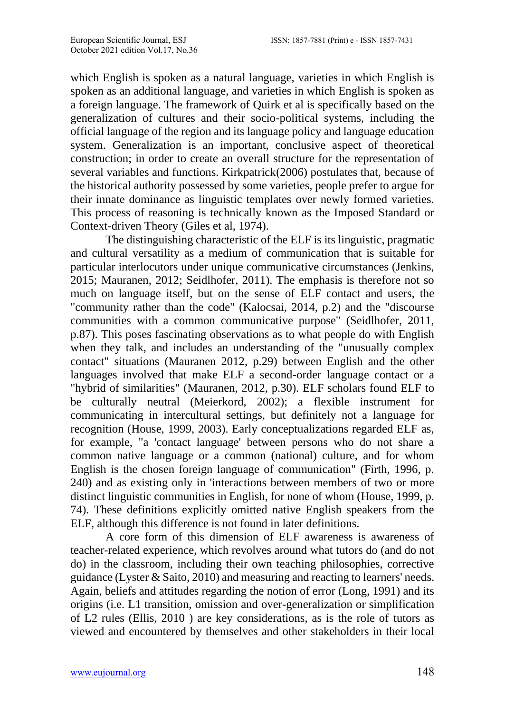which English is spoken as a natural language, varieties in which English is spoken as an additional language, and varieties in which English is spoken as a foreign language. The framework of Quirk et al is specifically based on the generalization of cultures and their socio-political systems, including the official language of the region and its language policy and language education system. Generalization is an important, conclusive aspect of theoretical construction; in order to create an overall structure for the representation of several variables and functions. Kirkpatrick(2006) postulates that, because of the historical authority possessed by some varieties, people prefer to argue for their innate dominance as linguistic templates over newly formed varieties. This process of reasoning is technically known as the Imposed Standard or Context-driven Theory (Giles et al, 1974).

The distinguishing characteristic of the ELF is its linguistic, pragmatic and cultural versatility as a medium of communication that is suitable for particular interlocutors under unique communicative circumstances (Jenkins, 2015; Mauranen, 2012; Seidlhofer, 2011). The emphasis is therefore not so much on language itself, but on the sense of ELF contact and users, the "community rather than the code" (Kalocsai, 2014, p.2) and the "discourse communities with a common communicative purpose" (Seidlhofer, 2011, p.87). This poses fascinating observations as to what people do with English when they talk, and includes an understanding of the "unusually complex contact" situations (Mauranen 2012, p.29) between English and the other languages involved that make ELF a second-order language contact or a "hybrid of similarities" (Mauranen, 2012, p.30). ELF scholars found ELF to be culturally neutral (Meierkord, 2002); a flexible instrument for communicating in intercultural settings, but definitely not a language for recognition (House, 1999, 2003). Early conceptualizations regarded ELF as, for example, "a 'contact language' between persons who do not share a common native language or a common (national) culture, and for whom English is the chosen foreign language of communication" (Firth, 1996, p. 240) and as existing only in 'interactions between members of two or more distinct linguistic communities in English, for none of whom (House, 1999, p. 74). These definitions explicitly omitted native English speakers from the ELF, although this difference is not found in later definitions.

A core form of this dimension of ELF awareness is awareness of teacher-related experience, which revolves around what tutors do (and do not do) in the classroom, including their own teaching philosophies, corrective guidance (Lyster & Saito, 2010) and measuring and reacting to learners' needs. Again, beliefs and attitudes regarding the notion of error (Long, 1991) and its origins (i.e. L1 transition, omission and over-generalization or simplification of L2 rules (Ellis, 2010 ) are key considerations, as is the role of tutors as viewed and encountered by themselves and other stakeholders in their local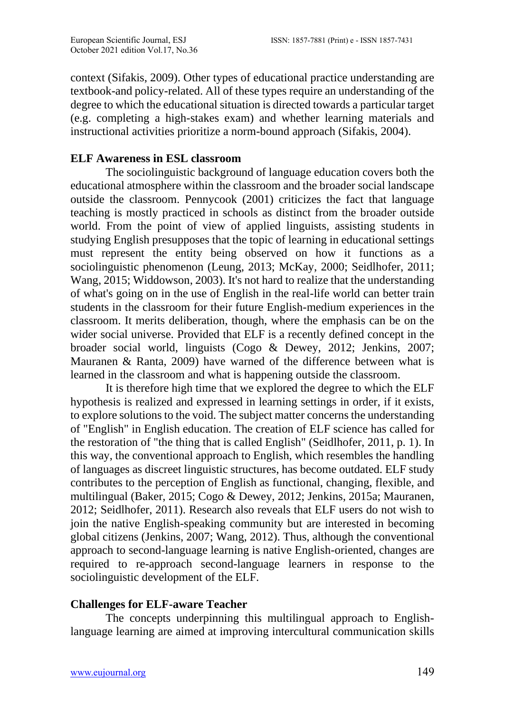context (Sifakis, 2009). Other types of educational practice understanding are textbook-and policy-related. All of these types require an understanding of the degree to which the educational situation is directed towards a particular target (e.g. completing a high-stakes exam) and whether learning materials and instructional activities prioritize a norm-bound approach (Sifakis, 2004).

## **ELF Awareness in ESL classroom**

The sociolinguistic background of language education covers both the educational atmosphere within the classroom and the broader social landscape outside the classroom. Pennycook (2001) criticizes the fact that language teaching is mostly practiced in schools as distinct from the broader outside world. From the point of view of applied linguists, assisting students in studying English presupposes that the topic of learning in educational settings must represent the entity being observed on how it functions as a sociolinguistic phenomenon (Leung, 2013; McKay, 2000; Seidlhofer, 2011; Wang, 2015; Widdowson, 2003). It's not hard to realize that the understanding of what's going on in the use of English in the real-life world can better train students in the classroom for their future English-medium experiences in the classroom. It merits deliberation, though, where the emphasis can be on the wider social universe. Provided that ELF is a recently defined concept in the broader social world, linguists (Cogo & Dewey, 2012; Jenkins, 2007; Mauranen & Ranta, 2009) have warned of the difference between what is learned in the classroom and what is happening outside the classroom.

It is therefore high time that we explored the degree to which the ELF hypothesis is realized and expressed in learning settings in order, if it exists, to explore solutions to the void. The subject matter concerns the understanding of "English" in English education. The creation of ELF science has called for the restoration of "the thing that is called English" (Seidlhofer, 2011, p. 1). In this way, the conventional approach to English, which resembles the handling of languages as discreet linguistic structures, has become outdated. ELF study contributes to the perception of English as functional, changing, flexible, and multilingual (Baker, 2015; Cogo & Dewey, 2012; Jenkins, 2015a; Mauranen, 2012; Seidlhofer, 2011). Research also reveals that ELF users do not wish to join the native English-speaking community but are interested in becoming global citizens (Jenkins, 2007; Wang, 2012). Thus, although the conventional approach to second-language learning is native English-oriented, changes are required to re-approach second-language learners in response to the sociolinguistic development of the ELF.

## **Challenges for ELF-aware Teacher**

The concepts underpinning this multilingual approach to Englishlanguage learning are aimed at improving intercultural communication skills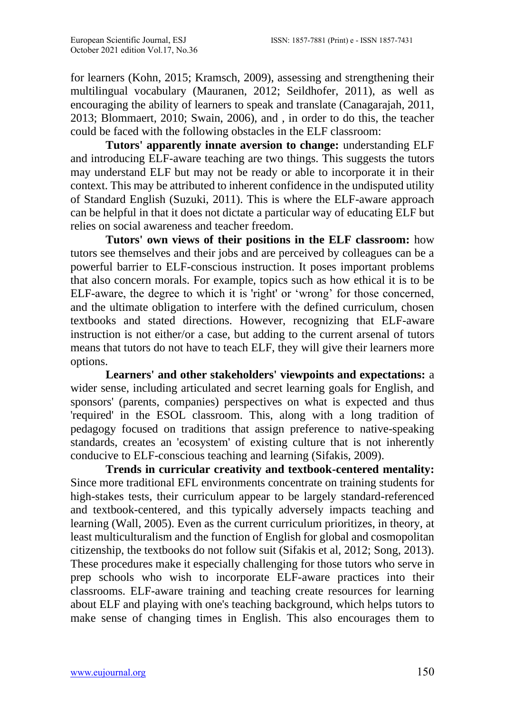for learners (Kohn, 2015; Kramsch, 2009), assessing and strengthening their multilingual vocabulary (Mauranen, 2012; Seildhofer, 2011), as well as encouraging the ability of learners to speak and translate (Canagarajah, 2011, 2013; Blommaert, 2010; Swain, 2006), and , in order to do this, the teacher could be faced with the following obstacles in the ELF classroom:

**Tutors' apparently innate aversion to change:** understanding ELF and introducing ELF-aware teaching are two things. This suggests the tutors may understand ELF but may not be ready or able to incorporate it in their context. This may be attributed to inherent confidence in the undisputed utility of Standard English (Suzuki, 2011). This is where the ELF-aware approach can be helpful in that it does not dictate a particular way of educating ELF but relies on social awareness and teacher freedom.

**Tutors' own views of their positions in the ELF classroom:** how tutors see themselves and their jobs and are perceived by colleagues can be a powerful barrier to ELF-conscious instruction. It poses important problems that also concern morals. For example, topics such as how ethical it is to be ELF-aware, the degree to which it is 'right' or 'wrong' for those concerned, and the ultimate obligation to interfere with the defined curriculum, chosen textbooks and stated directions. However, recognizing that ELF-aware instruction is not either/or a case, but adding to the current arsenal of tutors means that tutors do not have to teach ELF, they will give their learners more options.

**Learners' and other stakeholders' viewpoints and expectations:** a wider sense, including articulated and secret learning goals for English, and sponsors' (parents, companies) perspectives on what is expected and thus 'required' in the ESOL classroom. This, along with a long tradition of pedagogy focused on traditions that assign preference to native-speaking standards, creates an 'ecosystem' of existing culture that is not inherently conducive to ELF-conscious teaching and learning (Sifakis, 2009).

**Trends in curricular creativity and textbook-centered mentality:** Since more traditional EFL environments concentrate on training students for high-stakes tests, their curriculum appear to be largely standard-referenced and textbook-centered, and this typically adversely impacts teaching and learning (Wall, 2005). Even as the current curriculum prioritizes, in theory, at least multiculturalism and the function of English for global and cosmopolitan citizenship, the textbooks do not follow suit (Sifakis et al, 2012; Song, 2013). These procedures make it especially challenging for those tutors who serve in prep schools who wish to incorporate ELF-aware practices into their classrooms. ELF-aware training and teaching create resources for learning about ELF and playing with one's teaching background, which helps tutors to make sense of changing times in English. This also encourages them to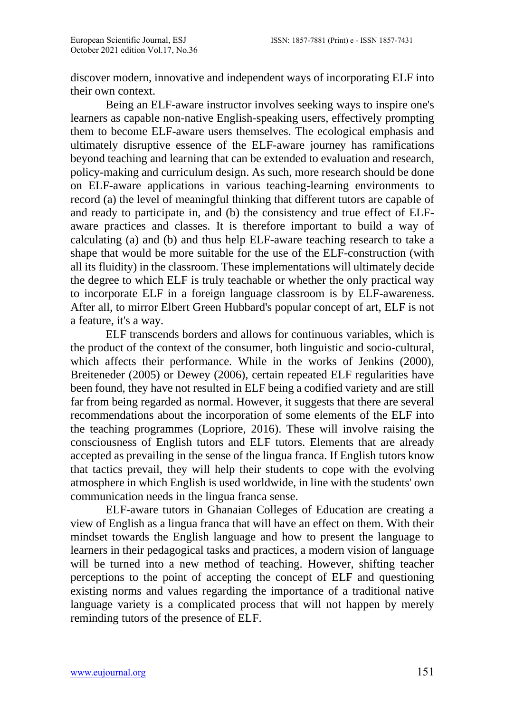discover modern, innovative and independent ways of incorporating ELF into their own context.

Being an ELF-aware instructor involves seeking ways to inspire one's learners as capable non-native English-speaking users, effectively prompting them to become ELF-aware users themselves. The ecological emphasis and ultimately disruptive essence of the ELF-aware journey has ramifications beyond teaching and learning that can be extended to evaluation and research, policy-making and curriculum design. As such, more research should be done on ELF-aware applications in various teaching-learning environments to record (a) the level of meaningful thinking that different tutors are capable of and ready to participate in, and (b) the consistency and true effect of ELFaware practices and classes. It is therefore important to build a way of calculating (a) and (b) and thus help ELF-aware teaching research to take a shape that would be more suitable for the use of the ELF-construction (with all its fluidity) in the classroom. These implementations will ultimately decide the degree to which ELF is truly teachable or whether the only practical way to incorporate ELF in a foreign language classroom is by ELF-awareness. After all, to mirror Elbert Green Hubbard's popular concept of art, ELF is not a feature, it's a way.

ELF transcends borders and allows for continuous variables, which is the product of the context of the consumer, both linguistic and socio-cultural, which affects their performance. While in the works of Jenkins (2000), Breiteneder (2005) or Dewey (2006), certain repeated ELF regularities have been found, they have not resulted in ELF being a codified variety and are still far from being regarded as normal. However, it suggests that there are several recommendations about the incorporation of some elements of the ELF into the teaching programmes (Lopriore, 2016). These will involve raising the consciousness of English tutors and ELF tutors. Elements that are already accepted as prevailing in the sense of the lingua franca. If English tutors know that tactics prevail, they will help their students to cope with the evolving atmosphere in which English is used worldwide, in line with the students' own communication needs in the lingua franca sense.

ELF-aware tutors in Ghanaian Colleges of Education are creating a view of English as a lingua franca that will have an effect on them. With their mindset towards the English language and how to present the language to learners in their pedagogical tasks and practices, a modern vision of language will be turned into a new method of teaching. However, shifting teacher perceptions to the point of accepting the concept of ELF and questioning existing norms and values regarding the importance of a traditional native language variety is a complicated process that will not happen by merely reminding tutors of the presence of ELF.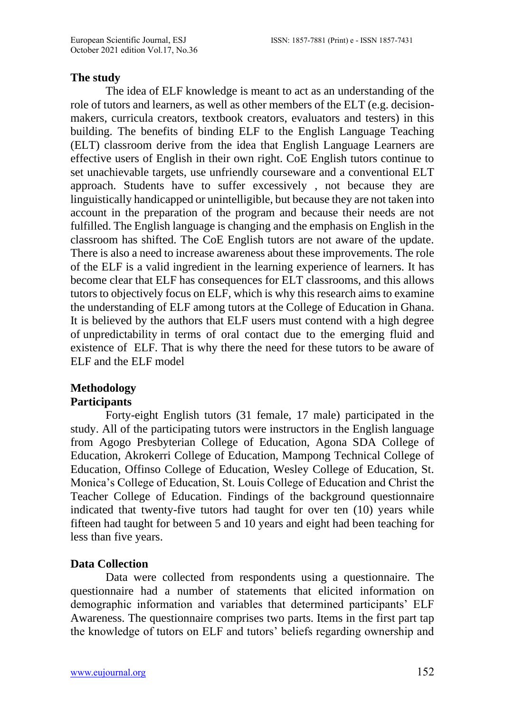### **The study**

The idea of ELF knowledge is meant to act as an understanding of the role of tutors and learners, as well as other members of the ELT (e.g. decisionmakers, curricula creators, textbook creators, evaluators and testers) in this building. The benefits of binding ELF to the English Language Teaching (ELT) classroom derive from the idea that English Language Learners are effective users of English in their own right. CoE English tutors continue to set unachievable targets, use unfriendly courseware and a conventional ELT approach. Students have to suffer excessively , not because they are linguistically handicapped or unintelligible, but because they are not taken into account in the preparation of the program and because their needs are not fulfilled. The English language is changing and the emphasis on English in the classroom has shifted. The CoE English tutors are not aware of the update. There is also a need to increase awareness about these improvements. The role of the ELF is a valid ingredient in the learning experience of learners. It has become clear that ELF has consequences for ELT classrooms, and this allows tutors to objectively focus on ELF, which is why this research aims to examine the understanding of ELF among tutors at the College of Education in Ghana. It is believed by the authors that ELF users must contend with a high degree of unpredictability in terms of oral contact due to the emerging fluid and existence of ELF. That is why there the need for these tutors to be aware of ELF and the ELF model

#### **Methodology Participants**

Forty-eight English tutors (31 female, 17 male) participated in the study. All of the participating tutors were instructors in the English language from Agogo Presbyterian College of Education, Agona SDA College of Education, Akrokerri College of Education, Mampong Technical College of Education, Offinso College of Education, Wesley College of Education, St. Monica's College of Education, St. Louis College of Education and Christ the Teacher College of Education. Findings of the background questionnaire indicated that twenty-five tutors had taught for over ten (10) years while fifteen had taught for between 5 and 10 years and eight had been teaching for less than five years.

## **Data Collection**

Data were collected from respondents using a questionnaire. The questionnaire had a number of statements that elicited information on demographic information and variables that determined participants' ELF Awareness. The questionnaire comprises two parts. Items in the first part tap the knowledge of tutors on ELF and tutors' beliefs regarding ownership and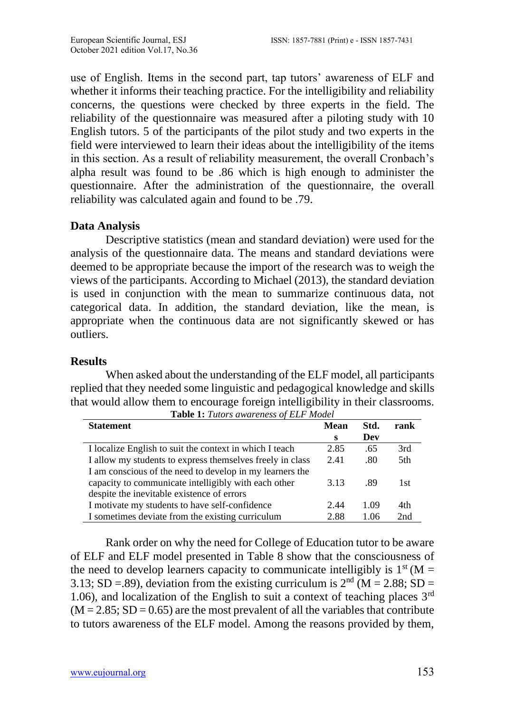use of English. Items in the second part, tap tutors' awareness of ELF and whether it informs their teaching practice. For the intelligibility and reliability concerns, the questions were checked by three experts in the field. The reliability of the questionnaire was measured after a piloting study with 10 English tutors. 5 of the participants of the pilot study and two experts in the field were interviewed to learn their ideas about the intelligibility of the items in this section. As a result of reliability measurement, the overall Cronbach's alpha result was found to be .86 which is high enough to administer the questionnaire. After the administration of the questionnaire, the overall reliability was calculated again and found to be .79.

## **Data Analysis**

Descriptive statistics (mean and standard deviation) were used for the analysis of the questionnaire data. The means and standard deviations were deemed to be appropriate because the import of the research was to weigh the views of the participants. According to Michael (2013), the standard deviation is used in conjunction with the mean to summarize continuous data, not categorical data. In addition, the standard deviation, like the mean, is appropriate when the continuous data are not significantly skewed or has outliers.

## **Results**

When asked about the understanding of the ELF model, all participants replied that they needed some linguistic and pedagogical knowledge and skills that would allow them to encourage foreign intelligibility in their classrooms. **Table 1:** *Tutors awareness of ELF Model*

| <b>Statement</b>                                          | <b>Mean</b> | Std. | rank |
|-----------------------------------------------------------|-------------|------|------|
|                                                           | s           | Dev  |      |
| I localize English to suit the context in which I teach   | 2.85        | .65  | 3rd  |
| I allow my students to express themselves freely in class | 2.41        | .80  | 5th  |
| I am conscious of the need to develop in my learners the  |             |      |      |
| capacity to communicate intelligibly with each other      | 3.13        | -89  | 1st  |
| despite the inevitable existence of errors                |             |      |      |
| I motivate my students to have self-confidence            | 2.44        | 1.09 | 4th  |
| I sometimes deviate from the existing curriculum          | 2.88        | 1.06 | 2nd  |

Rank order on why the need for College of Education tutor to be aware of ELF and ELF model presented in Table 8 show that the consciousness of the need to develop learners capacity to communicate intelligibly is  $1<sup>st</sup>$  (M = 3.13; SD =.89), deviation from the existing curriculum is  $2<sup>nd</sup>$  (M = 2.88; SD = 1.06), and localization of the English to suit a context of teaching places  $3<sup>rd</sup>$  $(M = 2.85; SD = 0.65)$  are the most prevalent of all the variables that contribute to tutors awareness of the ELF model. Among the reasons provided by them,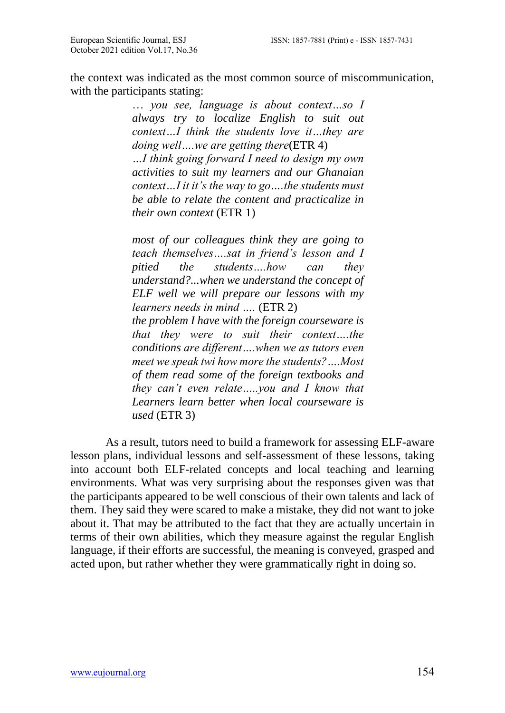the context was indicated as the most common source of miscommunication, with the participants stating:

> … *you see, language is about context…so I always try to localize English to suit out context…I think the students love it…they are doing well….we are getting there*(ETR 4)

> *…I think going forward I need to design my own activities to suit my learners and our Ghanaian context…I it it's the way to go….the students must be able to relate the content and practicalize in their own context* (ETR 1)

> *most of our colleagues think they are going to teach themselves….sat in friend's lesson and I pitied the students….how can they understand?...when we understand the concept of ELF well we will prepare our lessons with my learners needs in mind ….* (ETR 2) *the problem I have with the foreign courseware is that they were to suit their context….the conditions are different….when we as tutors even meet we speak twi how more the students?….Most of them read some of the foreign textbooks and they can't even relate…..you and I know that Learners learn better when local courseware is used* (ETR 3)

As a result, tutors need to build a framework for assessing ELF-aware lesson plans, individual lessons and self-assessment of these lessons, taking into account both ELF-related concepts and local teaching and learning environments. What was very surprising about the responses given was that the participants appeared to be well conscious of their own talents and lack of them. They said they were scared to make a mistake, they did not want to joke about it. That may be attributed to the fact that they are actually uncertain in terms of their own abilities, which they measure against the regular English language, if their efforts are successful, the meaning is conveyed, grasped and acted upon, but rather whether they were grammatically right in doing so.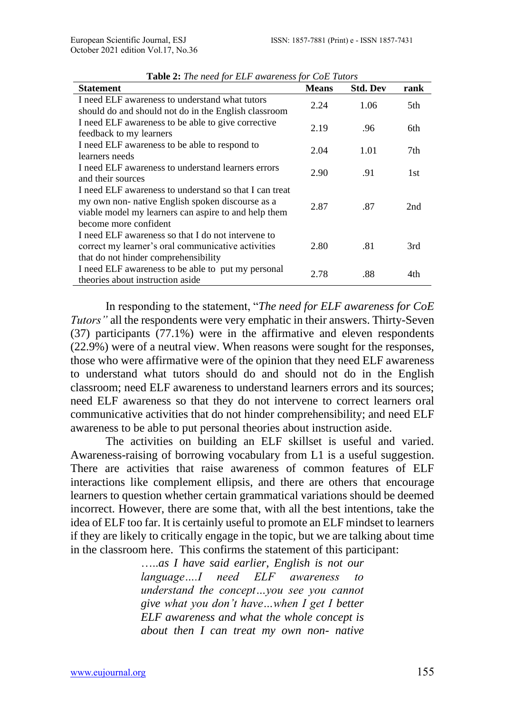| <b>Statement</b>                                                                                           | <b>Means</b> | <b>Std. Dev</b> | rank |
|------------------------------------------------------------------------------------------------------------|--------------|-----------------|------|
| I need ELF awareness to understand what tutors                                                             | 2.24         | 1.06            | 5th  |
| should do and should not do in the English classroom<br>I need ELF awareness to be able to give corrective |              |                 |      |
| feedback to my learners                                                                                    | 2.19         | .96             | 6th  |
| I need ELF awareness to be able to respond to                                                              | 2.04         | 1.01            | 7th  |
| learners needs                                                                                             |              |                 |      |
| I need ELF awareness to understand learners errors                                                         | 2.90         | .91             | 1st  |
| and their sources                                                                                          |              |                 |      |
| I need ELF awareness to understand so that I can treat                                                     |              |                 |      |
| my own non- native English spoken discourse as a<br>viable model my learners can aspire to and help them   | 2.87         | .87             | 2nd  |
| become more confident                                                                                      |              |                 |      |
| I need ELF awareness so that I do not intervene to                                                         |              |                 |      |
| correct my learner's oral communicative activities                                                         | 2.80         | .81             | 3rd  |
| that do not hinder comprehensibility                                                                       |              |                 |      |
| I need ELF awareness to be able to put my personal                                                         | 2.78         | .88             | 4th  |
| theories about instruction aside                                                                           |              |                 |      |

**Table 2:** *The need for ELF awareness for CoE Tutors*

In responding to the statement, "*The need for ELF awareness for CoE Tutors"* all the respondents were very emphatic in their answers. Thirty-Seven (37) participants (77.1%) were in the affirmative and eleven respondents (22.9%) were of a neutral view. When reasons were sought for the responses, those who were affirmative were of the opinion that they need ELF awareness to understand what tutors should do and should not do in the English classroom; need ELF awareness to understand learners errors and its sources; need ELF awareness so that they do not intervene to correct learners oral communicative activities that do not hinder comprehensibility; and need ELF awareness to be able to put personal theories about instruction aside.

The activities on building an ELF skillset is useful and varied. Awareness-raising of borrowing vocabulary from L1 is a useful suggestion. There are activities that raise awareness of common features of ELF interactions like complement ellipsis, and there are others that encourage learners to question whether certain grammatical variations should be deemed incorrect. However, there are some that, with all the best intentions, take the idea of ELF too far. It is certainly useful to promote an ELF mindset to learners if they are likely to critically engage in the topic, but we are talking about time in the classroom here. This confirms the statement of this participant:

> …..*as I have said earlier, English is not our language….I need ELF awareness to understand the concept…you see you cannot give what you don't have…when I get I better ELF awareness and what the whole concept is about then I can treat my own non- native*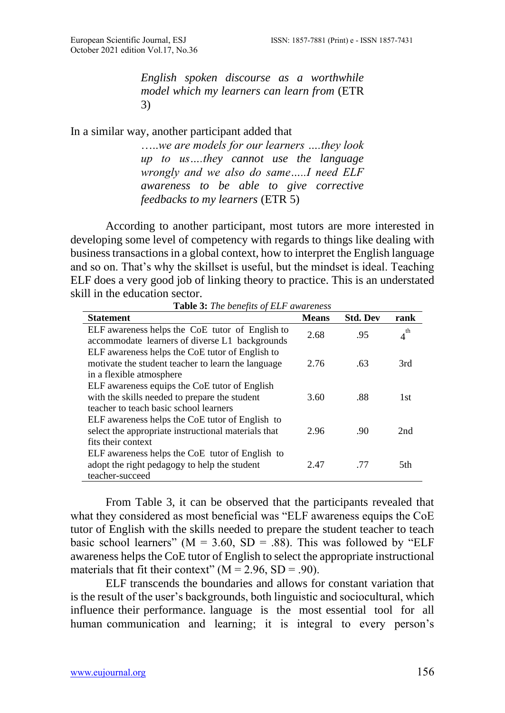*English spoken discourse as a worthwhile model which my learners can learn from* (ETR 3)

### In a similar way, another participant added that

…..*we are models for our learners ….they look up to us….they cannot use the language wrongly and we also do same…..I need ELF awareness to be able to give corrective feedbacks to my learners* (ETR 5)

According to another participant, most tutors are more interested in developing some level of competency with regards to things like dealing with business transactions in a global context, how to interpret the English language and so on. That's why the skillset is useful, but the mindset is ideal. Teaching ELF does a very good job of linking theory to practice. This is an understated skill in the education sector.

| <b>Statement</b>                                                                                  | <b>Means</b> | <b>Std. Dev</b> | rank     |
|---------------------------------------------------------------------------------------------------|--------------|-----------------|----------|
| ELF awareness helps the CoE tutor of English to<br>accommodate learners of diverse L1 backgrounds | 2.68         | .95             | $4^{th}$ |
| ELF awareness helps the CoE tutor of English to                                                   |              |                 |          |
| motivate the student teacher to learn the language                                                | 2.76         | .63             | 3rd      |
| in a flexible atmosphere<br>ELF awareness equips the CoE tutor of English                         |              |                 |          |
| with the skills needed to prepare the student                                                     | 3.60         | .88             | 1st      |
| teacher to teach basic school learners<br>ELF awareness helps the CoE tutor of English to         |              |                 |          |
| select the appropriate instructional materials that                                               | 2.96         | .90             | 2nd      |
| fits their context                                                                                |              |                 |          |
| ELF awareness helps the CoE tutor of English to<br>adopt the right pedagogy to help the student   | 2.47         | .77             | 5th      |
| teacher-succeed                                                                                   |              |                 |          |

**Table 3:** *The benefits of ELF awareness*

From Table 3, it can be observed that the participants revealed that what they considered as most beneficial was "ELF awareness equips the CoE tutor of English with the skills needed to prepare the student teacher to teach basic school learners" ( $M = 3.60$ ,  $SD = .88$ ). This was followed by "ELF awareness helps the CoE tutor of English to select the appropriate instructional materials that fit their context" ( $M = 2.96$ , SD = .90).

ELF transcends the boundaries and allows for constant variation that is the result of the user's backgrounds, both linguistic and sociocultural, which influence their performance. language is the most essential tool for all human communication and learning; it is integral to every person's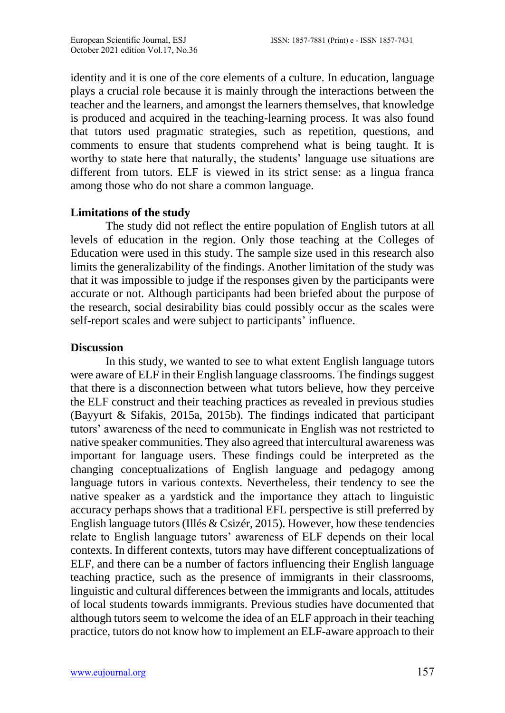identity and it is one of the core elements of a culture. In education, language plays a crucial role because it is mainly through the interactions between the teacher and the learners, and amongst the learners themselves, that knowledge is produced and acquired in the teaching-learning process. It was also found that tutors used pragmatic strategies, such as repetition, questions, and comments to ensure that students comprehend what is being taught. It is worthy to state here that naturally, the students' language use situations are different from tutors. ELF is viewed in its strict sense: as a lingua franca among those who do not share a common language.

### **Limitations of the study**

The study did not reflect the entire population of English tutors at all levels of education in the region. Only those teaching at the Colleges of Education were used in this study. The sample size used in this research also limits the generalizability of the findings. Another limitation of the study was that it was impossible to judge if the responses given by the participants were accurate or not. Although participants had been briefed about the purpose of the research, social desirability bias could possibly occur as the scales were self-report scales and were subject to participants' influence.

#### **Discussion**

In this study, we wanted to see to what extent English language tutors were aware of ELF in their English language classrooms. The findings suggest that there is a disconnection between what tutors believe, how they perceive the ELF construct and their teaching practices as revealed in previous studies (Bayyurt & Sifakis, 2015a, 2015b). The findings indicated that participant tutors' awareness of the need to communicate in English was not restricted to native speaker communities. They also agreed that intercultural awareness was important for language users. These findings could be interpreted as the changing conceptualizations of English language and pedagogy among language tutors in various contexts. Nevertheless, their tendency to see the native speaker as a yardstick and the importance they attach to linguistic accuracy perhaps shows that a traditional EFL perspective is still preferred by English language tutors (Illés  $& Csize$   $\acute{e}$ , 2015). However, how these tendencies relate to English language tutors' awareness of ELF depends on their local contexts. In different contexts, tutors may have different conceptualizations of ELF, and there can be a number of factors influencing their English language teaching practice, such as the presence of immigrants in their classrooms, linguistic and cultural differences between the immigrants and locals, attitudes of local students towards immigrants. Previous studies have documented that although tutors seem to welcome the idea of an ELF approach in their teaching practice, tutors do not know how to implement an ELF-aware approach to their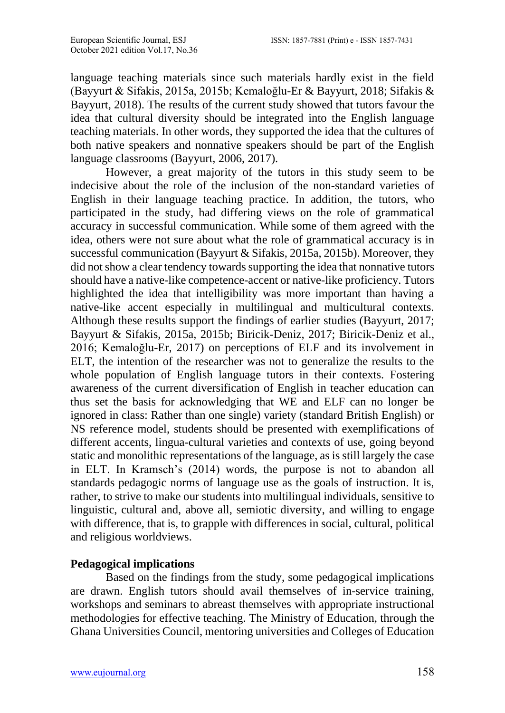language teaching materials since such materials hardly exist in the field (Bayyurt & Sifakis, 2015a, 2015b; Kemaloğlu-Er & Bayyurt, 2018; Sifakis & Bayyurt, 2018). The results of the current study showed that tutors favour the idea that cultural diversity should be integrated into the English language teaching materials. In other words, they supported the idea that the cultures of both native speakers and nonnative speakers should be part of the English language classrooms (Bayyurt, 2006, 2017).

However, a great majority of the tutors in this study seem to be indecisive about the role of the inclusion of the non-standard varieties of English in their language teaching practice. In addition, the tutors, who participated in the study, had differing views on the role of grammatical accuracy in successful communication. While some of them agreed with the idea, others were not sure about what the role of grammatical accuracy is in successful communication (Bayyurt & Sifakis, 2015a, 2015b). Moreover, they did not show a clear tendency towards supporting the idea that nonnative tutors should have a native-like competence-accent or native-like proficiency. Tutors highlighted the idea that intelligibility was more important than having a native-like accent especially in multilingual and multicultural contexts. Although these results support the findings of earlier studies (Bayyurt, 2017; Bayyurt & Sifakis, 2015a, 2015b; Biricik-Deniz, 2017; Biricik-Deniz et al., 2016; Kemaloğlu-Er, 2017) on perceptions of ELF and its involvement in ELT, the intention of the researcher was not to generalize the results to the whole population of English language tutors in their contexts. Fostering awareness of the current diversification of English in teacher education can thus set the basis for acknowledging that WE and ELF can no longer be ignored in class: Rather than one single) variety (standard British English) or NS reference model, students should be presented with exemplifications of different accents, lingua-cultural varieties and contexts of use, going beyond static and monolithic representations of the language, as is still largely the case in ELT. In Kramsch's (2014) words, the purpose is not to abandon all standards pedagogic norms of language use as the goals of instruction. It is, rather, to strive to make our students into multilingual individuals, sensitive to linguistic, cultural and, above all, semiotic diversity, and willing to engage with difference, that is, to grapple with differences in social, cultural, political and religious worldviews.

# **Pedagogical implications**

Based on the findings from the study, some pedagogical implications are drawn. English tutors should avail themselves of in-service training, workshops and seminars to abreast themselves with appropriate instructional methodologies for effective teaching. The Ministry of Education, through the Ghana Universities Council, mentoring universities and Colleges of Education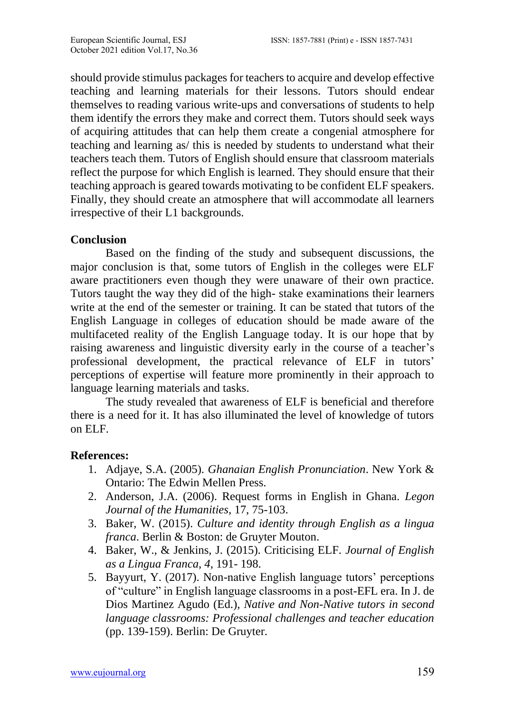should provide stimulus packages for teachers to acquire and develop effective teaching and learning materials for their lessons. Tutors should endear themselves to reading various write-ups and conversations of students to help them identify the errors they make and correct them. Tutors should seek ways of acquiring attitudes that can help them create a congenial atmosphere for teaching and learning as/ this is needed by students to understand what their teachers teach them. Tutors of English should ensure that classroom materials reflect the purpose for which English is learned. They should ensure that their teaching approach is geared towards motivating to be confident ELF speakers. Finally, they should create an atmosphere that will accommodate all learners irrespective of their L1 backgrounds.

### **Conclusion**

Based on the finding of the study and subsequent discussions, the major conclusion is that, some tutors of English in the colleges were ELF aware practitioners even though they were unaware of their own practice. Tutors taught the way they did of the high- stake examinations their learners write at the end of the semester or training. It can be stated that tutors of the English Language in colleges of education should be made aware of the multifaceted reality of the English Language today. It is our hope that by raising awareness and linguistic diversity early in the course of a teacher's professional development, the practical relevance of ELF in tutors' perceptions of expertise will feature more prominently in their approach to language learning materials and tasks.

The study revealed that awareness of ELF is beneficial and therefore there is a need for it. It has also illuminated the level of knowledge of tutors on ELF.

## **References:**

- 1. Adjaye, S.A. (2005). *Ghanaian English Pronunciation*. New York & Ontario: The Edwin Mellen Press.
- 2. Anderson, J.A. (2006). Request forms in English in Ghana. *Legon Journal of the Humanities*, 17, 75-103.
- 3. Baker, W. (2015). *Culture and identity through English as a lingua franca*. Berlin & Boston: de Gruyter Mouton.
- 4. Baker, W., & Jenkins, J. (2015). Criticising ELF. *Journal of English as a Lingua Franca, 4*, 191- 198.
- 5. Bayyurt, Y. (2017). Non-native English language tutors' perceptions of "culture" in English language classrooms in a post-EFL era. In J. de Dios Martinez Agudo (Ed.), *Native and Non-Native tutors in second language classrooms: Professional challenges and teacher education* (pp. 139-159). Berlin: De Gruyter.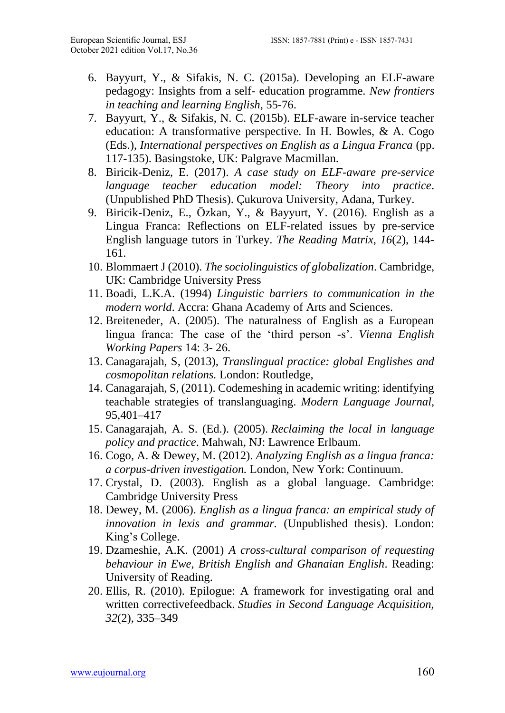- 6. Bayyurt, Y., & Sifakis, N. C. (2015a). Developing an ELF-aware pedagogy: Insights from a self- education programme. *New frontiers in teaching and learning English*, 55-76.
- 7. Bayyurt, Y., & Sifakis, N. C. (2015b). ELF-aware in-service teacher education: A transformative perspective. In H. Bowles, & A. Cogo (Eds.), *International perspectives on English as a Lingua Franca* (pp. 117-135). Basingstoke, UK: Palgrave Macmillan.
- 8. Biricik-Deniz, E. (2017). *A case study on ELF-aware pre-service language teacher education model: Theory into practice*. (Unpublished PhD Thesis). Çukurova University, Adana, Turkey.
- 9. Biricik-Deniz, E., Özkan, Y., & Bayyurt, Y. (2016). English as a Lingua Franca: Reflections on ELF-related issues by pre-service English language tutors in Turkey. *The Reading Matrix, 16*(2), 144- 161.
- 10. Blommaert J (2010). *The sociolinguistics of globalization*. Cambridge, UK: Cambridge University Press
- 11. Boadi, L.K.A. (1994) *Linguistic barriers to communication in the modern world*. Accra: Ghana Academy of Arts and Sciences.
- 12. Breiteneder, A. (2005). The naturalness of English as a European lingua franca: The case of the 'third person -s'. *Vienna English Working Papers* 14: 3- 26.
- 13. Canagarajah, S, (2013), *Translingual practice: global Englishes and cosmopolitan relations.* London: Routledge,
- 14. Canagarajah, S, (2011). Codemeshing in academic writing: identifying teachable strategies of translanguaging. *Modern Language Journal,*  95,401–417
- 15. Canagarajah, A. S. (Ed.). (2005). *Reclaiming the local in language policy and practice*. Mahwah, NJ: Lawrence Erlbaum.
- 16. Cogo, A. & Dewey, M. (2012). *Analyzing English as a lingua franca: a corpus-driven investigation.* London, New York: Continuum.
- 17. Crystal, D. (2003). English as a global language. Cambridge: Cambridge University Press
- 18. Dewey, M. (2006). *English as a lingua franca: an empirical study of innovation in lexis and grammar.* (Unpublished thesis). London: King's College.
- 19. Dzameshie, A.K. (2001) *A cross-cultural comparison of requesting behaviour in Ewe, British English and Ghanaian English*. Reading: University of Reading.
- 20. Ellis, R. (2010). Epilogue: A framework for investigating oral and written correctivefeedback. *Studies in Second Language Acquisition, 32*(2), 335–349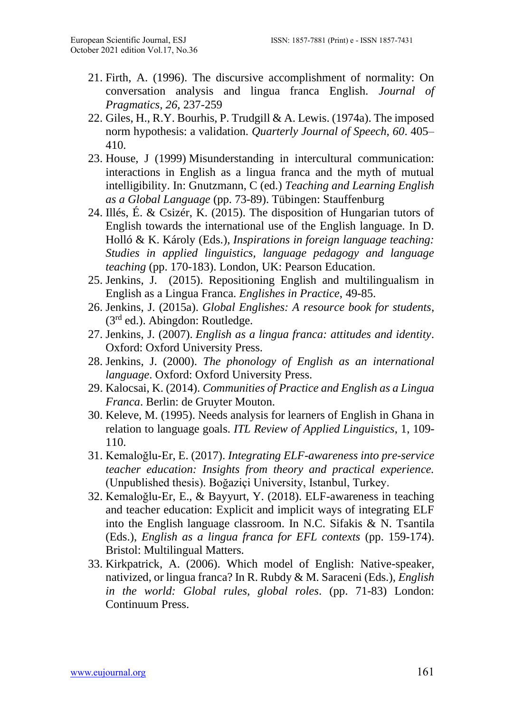- 21. Firth, A. (1996). The discursive accomplishment of normality: On conversation analysis and lingua franca English. *Journal of Pragmatics, 26*, 237-259
- 22. Giles, H., R.Y. Bourhis, P. Trudgill & A. Lewis. (1974a). The imposed norm hypothesis: a validation. *Quarterly Journal of Speech, 60*. 405– 410.
- 23. House, J (1999) Misunderstanding in intercultural communication: interactions in English as a lingua franca and the myth of mutual intelligibility. In: Gnutzmann, C (ed.) *Teaching and Learning English as a Global Language* (pp. 73-89). Tübingen: Stauffenburg
- 24. Illés, É. & Csizér, K. (2015). The disposition of Hungarian tutors of English towards the international use of the English language. In D. Holló & K. Károly (Eds.), *Inspirations in foreign language teaching: Studies in applied linguistics, language pedagogy and language teaching* (pp. 170-183). London, UK: Pearson Education.
- 25. Jenkins, J. (2015). Repositioning English and multilingualism in English as a Lingua Franca. *Englishes in Practice*, 49-85.
- 26. Jenkins, J. (2015a). *Global Englishes: A resource book for students*, (3rd ed.). Abingdon: Routledge.
- 27. Jenkins, J. (2007). *English as a lingua franca: attitudes and identity*. Oxford: Oxford University Press.
- 28. Jenkins, J. (2000). *The phonology of English as an international language*. Oxford: Oxford University Press.
- 29. Kalocsai, K. (2014). *Communities of Practice and English as a Lingua Franca*. Berlin: de Gruyter Mouton.
- 30. Keleve, M. (1995). Needs analysis for learners of English in Ghana in relation to language goals. *ITL Review of Applied Linguistics*, 1, 109- 110.
- 31. Kemaloğlu-Er, E. (2017). *Integrating ELF-awareness into pre-service teacher education: Insights from theory and practical experience.* (Unpublished thesis). Boğaziçi University, Istanbul, Turkey.
- 32. Kemaloğlu-Er, E., & Bayyurt, Y. (2018). ELF-awareness in teaching and teacher education: Explicit and implicit ways of integrating ELF into the English language classroom. In N.C. Sifakis & N. Tsantila (Eds.), *English as a lingua franca for EFL contexts* (pp. 159-174). Bristol: Multilingual Matters.
- 33. Kirkpatrick, A. (2006). Which model of English: Native-speaker, nativized, or lingua franca? In R. Rubdy & M. Saraceni (Eds.), *English in the world: Global rules, global roles*. (pp. 71-83) London: Continuum Press.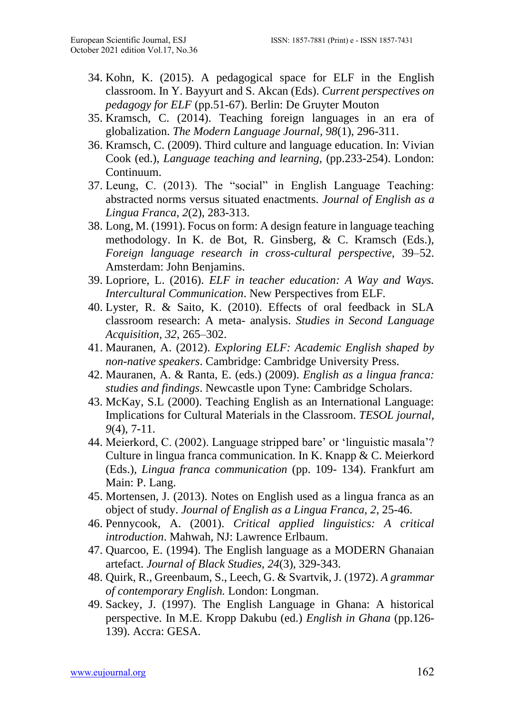- 34. Kohn, K. (2015). A pedagogical space for ELF in the English classroom. In Y. Bayyurt and S. Akcan (Eds). *Current perspectives on pedagogy for ELF* (pp.51-67). Berlin: De Gruyter Mouton
- 35. Kramsch, C. (2014). Teaching foreign languages in an era of globalization. *The Modern Language Journal, 98*(1), 296-311.
- 36. Kramsch, C. (2009). Third culture and language education. In: Vivian Cook (ed.), *Language teaching and learning,* (pp.233-254). London: Continuum.
- 37. Leung, C. (2013). The "social" in English Language Teaching: abstracted norms versus situated enactments. *Journal of English as a Lingua Franca, 2*(2), 283-313.
- 38. Long, M. (1991). Focus on form: A design feature in language teaching methodology. In K. de Bot, R. Ginsberg, & C. Kramsch (Eds.), *Foreign language research in cross-cultural perspective*, 39–52. Amsterdam: John Benjamins.
- 39. Lopriore, L. (2016). *ELF in teacher education: A Way and Ways. Intercultural Communication*. New Perspectives from ELF.
- 40. Lyster, R. & Saito, K. (2010). Effects of oral feedback in SLA classroom research: A meta- analysis. *Studies in Second Language Acquisition, 32*, 265–302.
- 41. Mauranen, A. (2012). *Exploring ELF: Academic English shaped by non-native speakers*. Cambridge: Cambridge University Press.
- 42. Mauranen, A. & Ranta, E. (eds.) (2009). *English as a lingua franca: studies and findings*. Newcastle upon Tyne: Cambridge Scholars.
- 43. McKay, S.L (2000). Teaching English as an International Language: Implications for Cultural Materials in the Classroom. *TESOL journal, 9*(4), 7-11.
- 44. Meierkord, C. (2002). Language stripped bare' or 'linguistic masala'? Culture in lingua franca communication. In K. Knapp & C. Meierkord (Eds.), *Lingua franca communication* (pp. 109- 134). Frankfurt am Main: P. Lang.
- 45. Mortensen, J. (2013). Notes on English used as a lingua franca as an object of study. *Journal of English as a Lingua Franca, 2*, 25-46.
- 46. Pennycook, A. (2001). *Critical applied linguistics: A critical introduction*. Mahwah, NJ: Lawrence Erlbaum.
- 47. Quarcoo, E. (1994). The English language as a MODERN Ghanaian artefact. *Journal of Black Studies, 24*(3), 329-343.
- 48. Quirk, R., Greenbaum, S., Leech, G. & Svartvik, J. (1972). *A grammar of contemporary English.* London: Longman.
- 49. Sackey, J. (1997). The English Language in Ghana: A historical perspective. In M.E. Kropp Dakubu (ed.) *English in Ghana* (pp.126- 139). Accra: GESA.